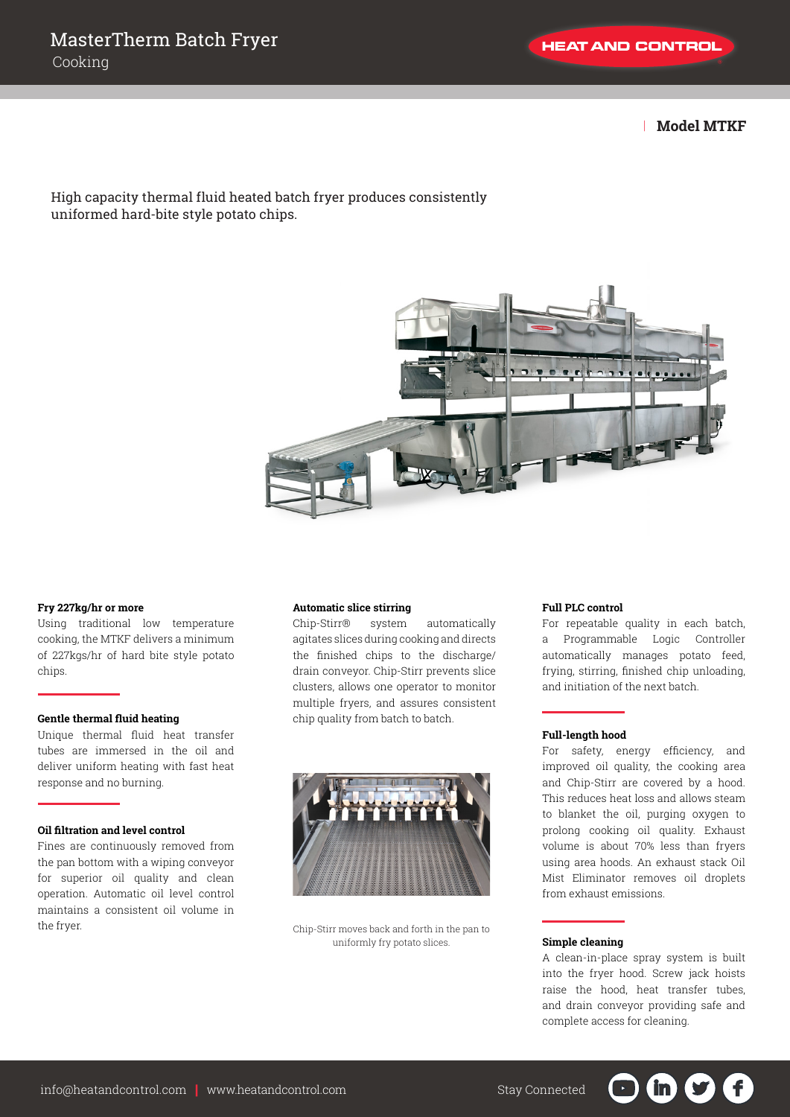| **Model MTKF**

# High capacity thermal fluid heated batch fryer produces consistently uniformed hard-bite style potato chips.



## **Fry 227kg/hr or more**

Using traditional low temperature cooking, the MTKF delivers a minimum of 227kgs/hr of hard bite style potato chips.

## **Gentle thermal fluid heating**

Unique thermal fluid heat transfer tubes are immersed in the oil and deliver uniform heating with fast heat response and no burning.

#### **Oil filtration and level control**

Fines are continuously removed from the pan bottom with a wiping conveyor for superior oil quality and clean operation. Automatic oil level control maintains a consistent oil volume in the fryer.

#### **Automatic slice stirring**

Chip-Stirr® system automatically agitates slices during cooking and directs the finished chips to the discharge/ drain conveyor. Chip-Stirr prevents slice clusters, allows one operator to monitor multiple fryers, and assures consistent chip quality from batch to batch.



Chip-Stirr moves back and forth in the pan to uniformly fry potato slices.

## **Full PLC control**

For repeatable quality in each batch, a Programmable Logic Controller automatically manages potato feed, frying, stirring, finished chip unloading, and initiation of the next batch.

### **Full-length hood**

For safety, energy efficiency, and improved oil quality, the cooking area and Chip-Stirr are covered by a hood. This reduces heat loss and allows steam to blanket the oil, purging oxygen to prolong cooking oil quality. Exhaust volume is about 70% less than fryers using area hoods. An exhaust stack Oil Mist Eliminator removes oil droplets from exhaust emissions.

### **Simple cleaning**

A clean-in-place spray system is built into the fryer hood. Screw jack hoists raise the hood, heat transfer tubes, and drain conveyor providing safe and complete access for cleaning.